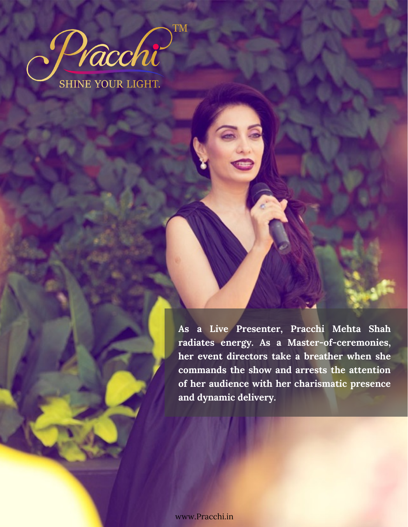

**As a Live Presenter, Pracchi Mehta Shah radiates energy. As a Master-of-ceremonies, her event directors take a breather when she commands the show and arrests the attention of her audience with her charismatic presence and dynamic delivery.**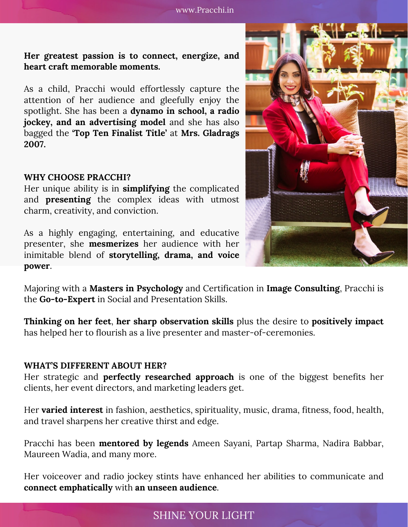### **Her greatest passion is to connect, energize, and heart craft memorable moments.**

As a child, Pracchi would effortlessly capture the attention of her audience and gleefully enjoy the spotlight. She has been a **dynamo in school, a radio jockey, and an advertising model** and she has also bagged the **'Top Ten Finalist Title'** at **Mrs. Gladrags 2007.**

#### **WHY CHOOSE PRACCHI?**

Her unique ability is in **simplifying** the complicated and **presenting** the complex ideas with utmost charm, creativity, and conviction.

As a highly engaging, entertaining, and educative presenter, she **mesmerizes** her audience with her inimitable blend of **storytelling, drama, and voice power**.



Majoring with a **Masters in Psychology** and Certification in **Image Consulting**, Pracchi is the **Go-to-Expert** in Social and Presentation Skills.

**Thinking on her feet**, **her sharp observation skills** plus the desire to **positively impact** has helped her to flourish as a live presenter and master-of-ceremonies.

### **WHAT'S DIFFERENT ABOUT HER?**

Her strategic and **perfectly researched approach** is one of the biggest benefits her clients, her event directors, and marketing leaders get.

Her **varied interest** in fashion, aesthetics, spirituality, music, drama, fitness, food, health, and travel sharpens her creative thirst and edge.

Pracchi has been **mentored by legends** Ameen Sayani, Partap Sharma, Nadira Babbar, Maureen Wadia, and many more.

Her voiceover and radio jockey stints have enhanced her abilities to communicate and **connect emphatically** with **an unseen audience**.

## SHINE YOUR LIGHT